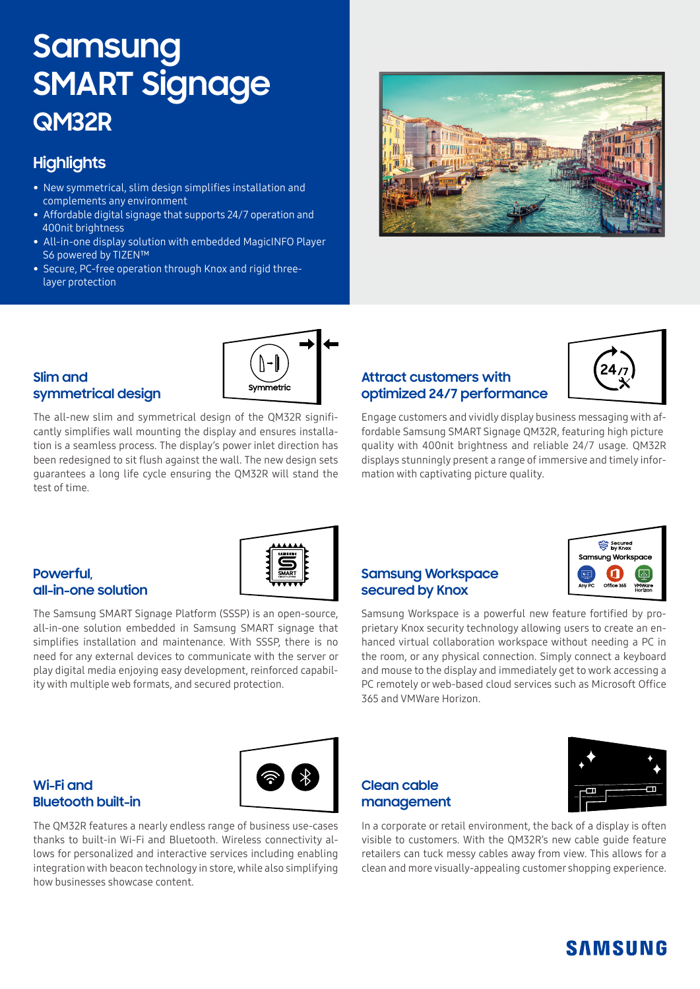# **Samsung SMART Signage QM32R**

## **Highlights**

- New symmetrical, slim design simplifies installation and complements any environment
- Affordable digital signage that supports 24/7 operation and 400nit brightness
- All-in-one display solution with embedded MagicINFO Player S6 powered by TIZEN™
- Secure, PC-free operation through Knox and rigid three layer protection

#### **Slim and symmetrical design**

Symmetric

The all-new slim and symmetrical design of the QM32R significantly simplifies wall mounting the display and ensures installation is a seamless process. The display's power inlet direction has been redesigned to sit flush against the wall. The new design sets guarantees a long life cycle ensuring the QM32R will stand the test of time.

### **Attract customers with optimized 24/7 performance**



Engage customers and vividly display business messaging with affordable Samsung SMART Signage QM32R, featuring high picture quality with 400nit brightness and reliable 24/7 usage. QM32R displays stunningly present a range of immersive and timely information with captivating picture quality.

#### **Powerful, all-in-one solution**

The Samsung SMART Signage Platform (SSSP) is an open-source, all-in-one solution embedded in Samsung SMART signage that simplifies installation and maintenance. With SSSP, there is no need for any external devices to communicate with the server or play digital media enjoying easy development, reinforced capability with multiple web formats, and secured protection.



#### **Samsung Workspace secured by Knox**



Samsung Workspace is a powerful new feature fortified by proprietary Knox security technology allowing users to create an enhanced virtual collaboration workspace without needing a PC in the room, or any physical connection. Simply connect a keyboard and mouse to the display and immediately get to work accessing a PC remotely or web-based cloud services such as Microsoft Office 365 and VMWare Horizon.

#### **Wi-Fi and Bluetooth built-in**



The QM32R features a nearly endless range of business use-cases thanks to built-in Wi-Fi and Bluetooth. Wireless connectivity allows for personalized and interactive services including enabling integration with beacon technology in store, while also simplifying how businesses showcase content.

## **Clean cable management**



In a corporate or retail environment, the back of a display is often visible to customers. With the QM32R's new cable guide feature retailers can tuck messy cables away from view. This allows for a clean and more visually-appealing customer shopping experience.